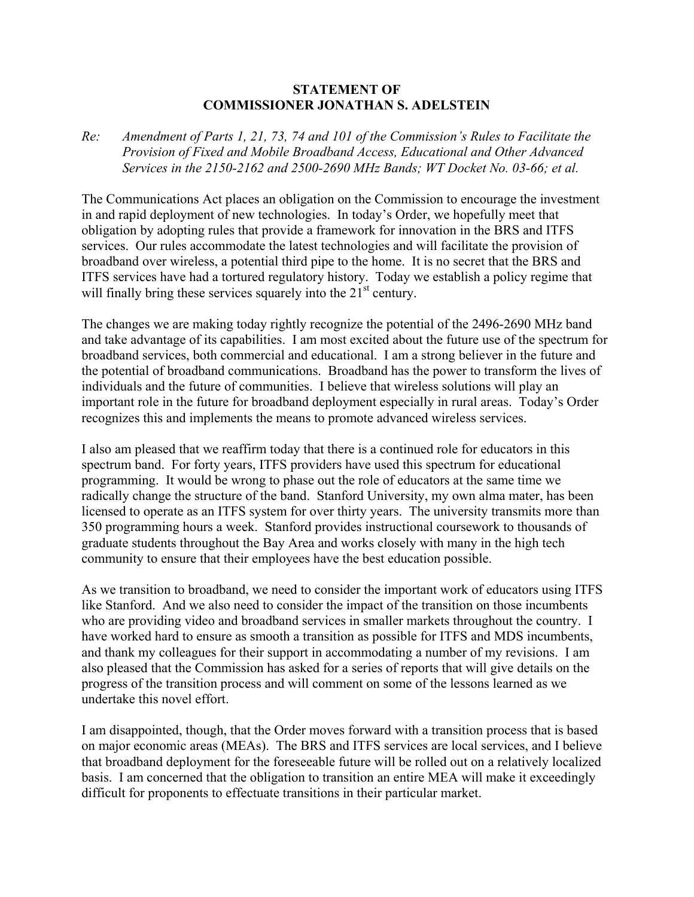## **STATEMENT OF COMMISSIONER JONATHAN S. ADELSTEIN**

*Re: Amendment of Parts 1, 21, 73, 74 and 101 of the Commission's Rules to Facilitate the Provision of Fixed and Mobile Broadband Access, Educational and Other Advanced Services in the 2150-2162 and 2500-2690 MHz Bands; WT Docket No. 03-66; et al.* 

The Communications Act places an obligation on the Commission to encourage the investment in and rapid deployment of new technologies. In today's Order, we hopefully meet that obligation by adopting rules that provide a framework for innovation in the BRS and ITFS services. Our rules accommodate the latest technologies and will facilitate the provision of broadband over wireless, a potential third pipe to the home. It is no secret that the BRS and ITFS services have had a tortured regulatory history. Today we establish a policy regime that will finally bring these services squarely into the  $21<sup>st</sup>$  century.

The changes we are making today rightly recognize the potential of the 2496-2690 MHz band and take advantage of its capabilities. I am most excited about the future use of the spectrum for broadband services, both commercial and educational. I am a strong believer in the future and the potential of broadband communications. Broadband has the power to transform the lives of individuals and the future of communities. I believe that wireless solutions will play an important role in the future for broadband deployment especially in rural areas. Today's Order recognizes this and implements the means to promote advanced wireless services.

I also am pleased that we reaffirm today that there is a continued role for educators in this spectrum band. For forty years, ITFS providers have used this spectrum for educational programming. It would be wrong to phase out the role of educators at the same time we radically change the structure of the band. Stanford University, my own alma mater, has been licensed to operate as an ITFS system for over thirty years. The university transmits more than 350 programming hours a week. Stanford provides instructional coursework to thousands of graduate students throughout the Bay Area and works closely with many in the high tech community to ensure that their employees have the best education possible.

As we transition to broadband, we need to consider the important work of educators using ITFS like Stanford. And we also need to consider the impact of the transition on those incumbents who are providing video and broadband services in smaller markets throughout the country. I have worked hard to ensure as smooth a transition as possible for ITFS and MDS incumbents, and thank my colleagues for their support in accommodating a number of my revisions. I am also pleased that the Commission has asked for a series of reports that will give details on the progress of the transition process and will comment on some of the lessons learned as we undertake this novel effort.

I am disappointed, though, that the Order moves forward with a transition process that is based on major economic areas (MEAs). The BRS and ITFS services are local services, and I believe that broadband deployment for the foreseeable future will be rolled out on a relatively localized basis. I am concerned that the obligation to transition an entire MEA will make it exceedingly difficult for proponents to effectuate transitions in their particular market.